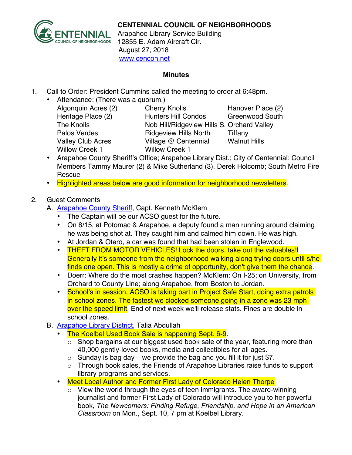

## **CENTENNIAL COUNCIL OF NEIGHBORHOODS**

Arapahoe Library Service Building 12855 E. Adam Aircraft Cir. August 27, 2018 www.cencon.net

## **Minutes**

- 1. Call to Order: President Cummins called the meeting to order at 6:48pm.
	- Attendance: (There was a quorum.)
		- Willow Creek 1 Willow Creek 1

Algonquin Acres (2) Cherry Knolls Hanover Place (2) Heritage Place (2) Hunters Hill Condos Greenwood South The Knolls Nob Hill/Ridgeview Hills S. Orchard Valley Palos Verdes **Ridgeview Hills North** Tiffany Valley Club Acres Village @ Centennial Walnut Hills

- Arapahoe County Sheriff's Office; Arapahoe Library Dist.; City of Centennial: Council Members Tammy Maurer (2) & Mike Sutherland (3), Derek Holcomb; South Metro Fire Rescue
- Highlighted areas below are good information for neighborhood newsletters.

## 2. Guest Comments

- A. [Arapahoe County Sheriff,](http://www.arapahoesheriff.org) Capt. Kenneth McKlem
	- The Captain will be our ACSO guest for the future.
	- On 8/15, at Potomac & Arapahoe, a deputy found a man running around claiming he was being shot at. They caught him and calmed him down. He was high.
	- At Jordan & Otero, a car was found that had been stolen in Englewood.
	- THEFT FROM MOTOR VEHICLES! Lock the doors, take out the valuables! Generally it's someone from the neighborhood walking along trying doors until s/he finds one open. This is mostly a crime of opportunity, don't give them the chance.
	- Doerr: Where do the most crashes happen? McKlem: On I-25; on University, from Orchard to County Line; along Arapahoe, from Boston to Jordan.
	- School's in session, ACSO is taking part in Project Safe Start, doing extra patrols in school zones. The fastest we clocked someone going in a zone was 23 mph over the speed limit. End of next week we'll release stats. Fines are double in school zones.
- B. [Arapahoe Library District,](http://www.arapahoelibraries.org/) Talia Abdullah
	- The Koelbel Used Book Sale is happening Sept. 6-9.
		- o Shop bargains at our biggest used book sale of the year, featuring more than 40,000 gently-loved books, media and collectibles for all ages.
		- $\circ$  Sunday is bag day we provide the bag and you fill it for just \$7.
		- o Through book sales, the Friends of Arapahoe Libraries raise funds to support library programs and services.
	- Meet Local Author and Former First Lady of Colorado Helen Thorpe
		- $\circ$  View the world through the eyes of teen immigrants. The award-winning journalist and former First Lady of Colorado will introduce you to her powerful book*, The Newcomers: Finding Refuge, Friendship, and Hope in an American Classroom* on Mon., Sept. 10, 7 pm at Koelbel Library.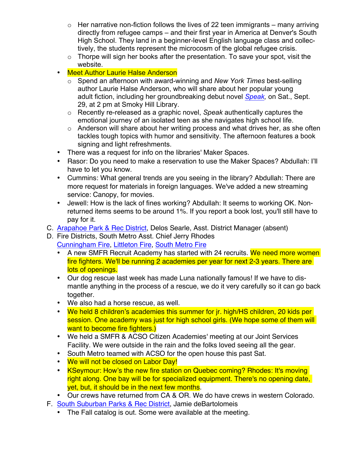- $\circ$  Her narrative non-fiction follows the lives of 22 teen immigrants many arriving directly from refugee camps – and their first year in America at Denver's South High School. They land in a beginner-level English language class and collectively, the students represent the microcosm of the global refugee crisis.
- $\circ$  Thorpe will sign her books after the presentation. To save your spot, visit the website.
- Meet Author Laurie Halse Anderson
	- o Spend an afternoon with award-winning and *New York Times* best-selling author Laurie Halse Anderson, who will share about her popular young adult fiction, including her groundbreaking debut novel *[Speak,](https://arapahoelibraries.bibliocommons.com/item/show/1914047115)* on Sat., Sept. 29, at 2 pm at Smoky Hill Library.
	- o Recently re-released as a graphic novel, *Speak* authentically captures the emotional journey of an isolated teen as she navigates high school life.
	- o Anderson will share about her writing process and what drives her, as she often tackles tough topics with humor and sensitivity. The afternoon features a book signing and light refreshments.
- There was a request for info on the libraries' Maker Spaces.
- Rasor: Do you need to make a reservation to use the Maker Spaces? Abdullah: I'll have to let you know.
- Cummins: What general trends are you seeing in the library? Abdullah: There are more request for materials in foreign languages. We've added a new streaming service: Canopy, for movies.
- Jewell: How is the lack of fines working? Abdullah: It seems to working OK. Nonreturned items seems to be around 1%. If you report a book lost, you'll still have to pay for it.
- C. [Arapahoe Park & Rec District,](http://www.aprd.org) Delos Searle, Asst. District Manager (absent)
- D. Fire Districts, South Metro Asst. Chief Jerry Rhodes [Cunningham Fire,](http://www.cfpd.org) [Littleton Fire,](http://www.littletongov.org/fire) [South Metro Fire](http://www.southmetro.org)
	- A new SMFR Recruit Academy has started with 24 recruits. We need more women fire fighters. We'll be running 2 academies per year for next 2-3 years. There are lots of openings.
	- Our dog rescue last week has made Luna nationally famous! If we have to dismantle anything in the process of a rescue, we do it very carefully so it can go back together.
	- We also had a horse rescue, as well.
	- We held 8 children's academies this summer for jr. high/HS children, 20 kids per session. One academy was just for high school girls. (We hope some of them will want to become fire fighters.)
	- We held a SMFR & ACSO Citizen Academies' meeting at our Joint Services Facility. We were outside in the rain and the folks loved seeing all the gear.
	- South Metro teamed with ACSO for the open house this past Sat.
	- We will not be closed on Labor Day!
	- KSeymour: How's the new fire station on Quebec coming? Rhodes: It's moving right along. One bay will be for specialized equipment. There's no opening date, yet, but, it should be in the next few months.
	- Our crews have returned from CA & OR. We do have crews in western Colorado.
- F. [South Suburban Parks & Rec District,](http://www.SSPR.org) Jamie deBartolomeis
	- The Fall catalog is out. Some were available at the meeting.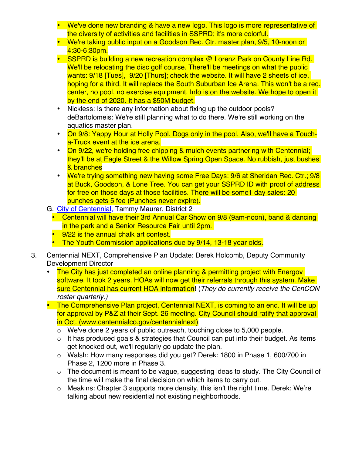- We've done new branding & have a new logo. This logo is more representative of the diversity of activities and facilities in SSPRD; it's more colorful.
- We're taking public input on a Goodson Rec. Ctr. master plan, 9/5, 10-noon or 4:30-6:30pm.
- SSPRD is building a new recreation complex @ Lorenz Park on County Line Rd. We'll be relocating the disc golf course. There'll be meetings on what the public wants: 9/18 [Tues], 9/20 [Thurs]; check the website. It will have 2 sheets of ice, hoping for a third. It will replace the South Suburban Ice Arena. This won't be a rec. center, no pool, no exercise equipment. Info is on the website. We hope to open it by the end of 2020. It has a \$50M budget.
- Nickless: Is there any information about fixing up the outdoor pools? deBartolomeis: We're still planning what to do there. We're still working on the aquatics master plan.
- On 9/8: Yappy Hour at Holly Pool. Dogs only in the pool. Also, we'll have a Toucha-Truck event at the ice arena.
- On 9/22, we're holding free chipping & mulch events partnering with Centennial; they'll be at Eagle Street & the Willow Spring Open Space. No rubbish, just bushes & branches
- We're trying something new having some Free Days: 9/6 at Sheridan Rec. Ctr.; 9/8 at Buck, Goodson, & Lone Tree. You can get your SSPRD ID with proof of address for free on those days at those facilities. There will be some1 day sales: 20 punches gets 5 fee (Punches never expire).
- G. [City of Centennial,](http://www.centennialco.gov) Tammy Maurer, District 2
	- Centennial will have their 3rd Annual Car Show on 9/8 (9am-noon), band & dancing in the park and a Senior Resource Fair until 2pm.
	- 9/22 is the annual chalk art contest.
	- The Youth Commission applications due by 9/14, 13-18 year olds.
- 3. Centennial NEXT, Comprehensive Plan Update: Derek Holcomb, Deputy Community Development Director
	- The City has just completed an online planning & permitting project with Energov software. It took 2 years. HOAs will now get their referrals through this system. Make sure Centennial has current HOA information! (*They do currently receive the CenCON roster quarterly.)*
	- The Comprehensive Plan project, Centennial NEXT, is coming to an end. It will be up for approval by P&Z at their Sept. 26 meeting. City Council should ratify that approval in Oct. (www.centennialco.gov/centennialnext)
		- o We've done 2 years of public outreach, touching close to 5,000 people.
		- $\circ$  It has produced goals & strategies that Council can put into their budget. As items get knocked out, we'll regularly go update the plan.
		- $\circ$  Walsh: How many responses did you get? Derek: 1800 in Phase 1, 600/700 in Phase 2, 1200 more in Phase 3.
		- o The document is meant to be vague, suggesting ideas to study. The City Council of the time will make the final decision on which items to carry out.
		- $\circ$  Meakins: Chapter 3 supports more density, this isn't the right time. Derek: We're talking about new residential not existing neighborhoods.